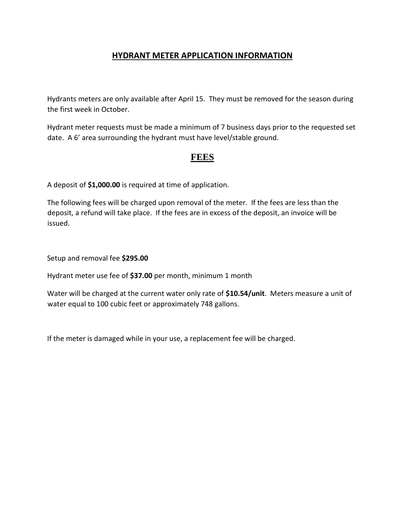## **HYDRANT METER APPLICATION INFORMATION**

Hydrants meters are only available after April 15. They must be removed for the season during the first week in October.

Hydrant meter requests must be made a minimum of 7 business days prior to the requested set date. A 6' area surrounding the hydrant must have level/stable ground.

## **FEES**

A deposit of **\$1,000.00** is required at time of application.

The following fees will be charged upon removal of the meter. If the fees are less than the deposit, a refund will take place. If the fees are in excess of the deposit, an invoice will be issued.

Setup and removal fee **\$295.00**

Hydrant meter use fee of **\$37.00** per month, minimum 1 month

Water will be charged at the current water only rate of **\$10.54/unit**. Meters measure a unit of water equal to 100 cubic feet or approximately 748 gallons.

If the meter is damaged while in your use, a replacement fee will be charged.